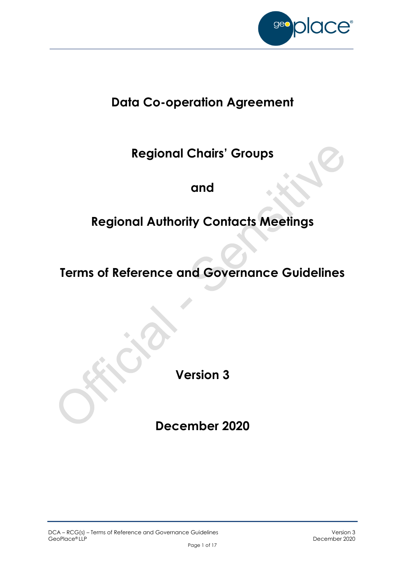

## **Data Co-operation Agreement**

# **Regional Chairs' Groups**

## **and**

# **Regional Authority Contacts Meetings**

# **Terms of Reference and Governance Guidelines**

**Version 3**

**December 2020**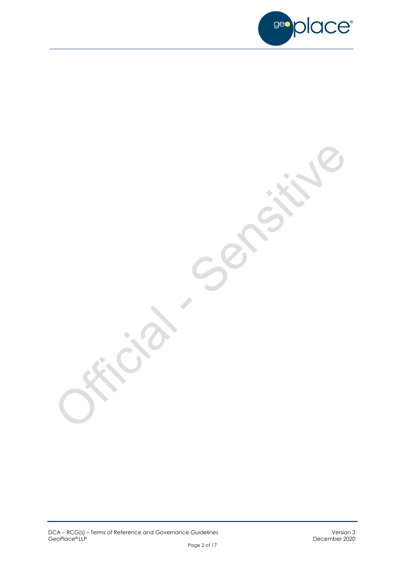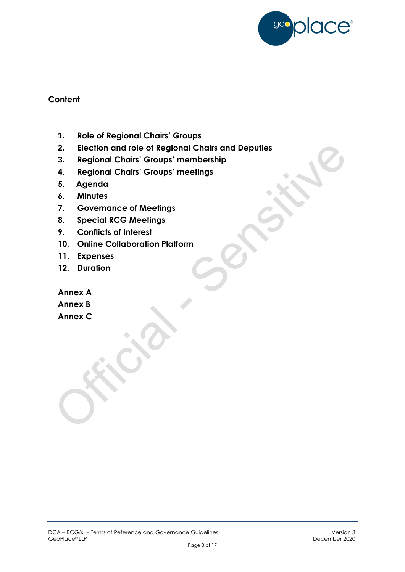

#### **Content**

- **1. Role of Regional Chairs' Groups**
- **2. Election and role of Regional Chairs and Deputies**
- **3. Regional Chairs' Groups' membership**
- **4. Regional Chairs' Groups' meetings**
- **5. Agenda**
- **6. Minutes**
- **7. Governance of Meetings**
- **8. Special RCG Meetings**
- **9. Conflicts of Interest**
- **10. Online Collaboration Platform**
- **11. Expenses**
- **12. Duration**

**Annex A**

**Annex B**

**Annex C**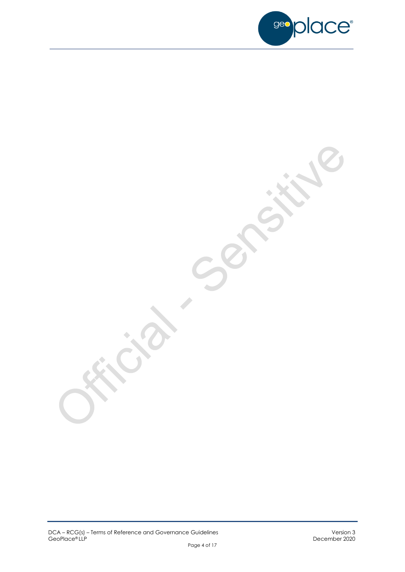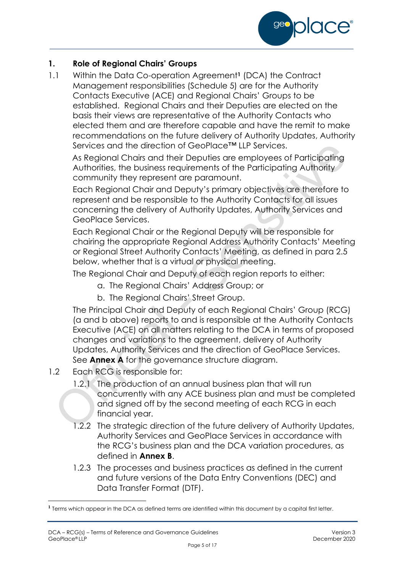

### **1. Role of Regional Chairs' Groups**

1.1 Within the Data Co-operation Agreement**<sup>1</sup>** (DCA) the Contract Management responsibilities (Schedule 5) are for the Authority Contacts Executive (ACE) and Regional Chairs' Groups to be established. Regional Chairs and their Deputies are elected on the basis their views are representative of the Authority Contacts who elected them and are therefore capable and have the remit to make recommendations on the future delivery of Authority Updates, Authority Services and the direction of GeoPlace™ LLP Services.

As Regional Chairs and their Deputies are employees of Participating Authorities, the business requirements of the Participating Authority community they represent are paramount.

Each Regional Chair and Deputy's primary objectives are therefore to represent and be responsible to the Authority Contacts for all issues concerning the delivery of Authority Updates, Authority Services and GeoPlace Services.

Each Regional Chair or the Regional Deputy will be responsible for chairing the appropriate Regional Address Authority Contacts' Meeting or Regional Street Authority Contacts' Meeting, as defined in para 2.5 below, whether that is a virtual or physical meeting.

The Regional Chair and Deputy of each region reports to either:

- a. The Regional Chairs' Address Group; or
- b. The Regional Chairs' Street Group.

The Principal Chair and Deputy of each Regional Chairs' Group (RCG) (a and b above) reports to and is responsible at the Authority Contacts Executive (ACE) on all matters relating to the DCA in terms of proposed changes and variations to the agreement, delivery of Authority Updates, Authority Services and the direction of GeoPlace Services. See **Annex A** for the governance structure diagram.

- 1.2 Each RCG is responsible for:
	- 1.2.1 The production of an annual business plan that will run concurrently with any ACE business plan and must be completed and signed off by the second meeting of each RCG in each financial year.
	- 1.2.2 The strategic direction of the future delivery of Authority Updates, Authority Services and GeoPlace Services in accordance with the RCG's business plan and the DCA variation procedures, as defined in **Annex B**.
	- 1.2.3 The processes and business practices as defined in the current and future versions of the Data Entry Conventions (DEC) and Data Transfer Format (DTF).

**<sup>1</sup>** Terms which appear in the DCA as defined terms are identified within this document by a capital first letter.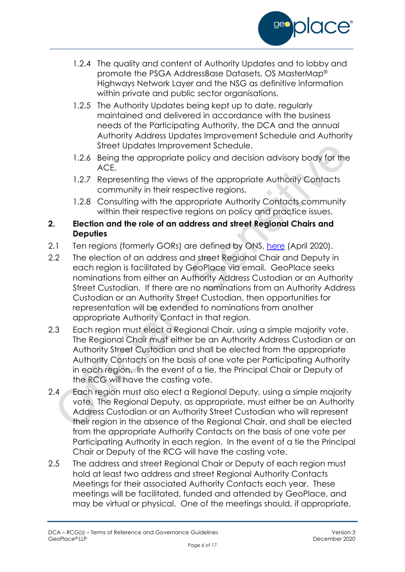

- 1.2.4 The quality and content of Authority Updates and to lobby and promote the PSGA AddressBase Datasets, OS MasterMap® Highways Network Layer and the NSG as definitive information within private and public sector organisations.
- 1.2.5 The Authority Updates being kept up to date, regularly maintained and delivered in accordance with the business needs of the Participating Authority, the DCA and the annual Authority Address Updates Improvement Schedule and Authority Street Updates Improvement Schedule.
- 1.2.6 Being the appropriate policy and decision advisory body for the ACE.
- 1.2.7 Representing the views of the appropriate Authority Contacts community in their respective regions.
- 1.2.8 Consulting with the appropriate Authority Contacts community within their respective regions on policy and practice issues.
- **2. Election and the role of an address and street Regional Chairs and Deputies**
- 2.1 Ten regions (formerly GORs) are defined by ONS, [here](http://www.ons.gov.uk/ons/guide-method/geography/beginner-s-guide/maps/regions-and-their-constituent-counties---unitary-authorities-as-at-2011.pdf) (April 2020).
- 2.2 The election of an address and street Regional Chair and Deputy in each region is facilitated by GeoPlace via email. GeoPlace seeks nominations from either an Authority Address Custodian or an Authority Street Custodian. If there are no nominations from an Authority Address Custodian or an Authority Street Custodian, then opportunities for representation will be extended to nominations from another appropriate Authority Contact in that region.
- 2.3 Each region must elect a Regional Chair, using a simple majority vote. The Regional Chair must either be an Authority Address Custodian or an Authority Street Custodian and shall be elected from the appropriate Authority Contacts on the basis of one vote per Participating Authority in each region. In the event of a tie, the Principal Chair or Deputy of the RCG will have the casting vote.
- 2.4 Each region must also elect a Regional Deputy, using a simple majority vote. The Regional Deputy, as appropriate, must either be an Authority Address Custodian or an Authority Street Custodian who will represent their region in the absence of the Regional Chair, and shall be elected from the appropriate Authority Contacts on the basis of one vote per Participating Authority in each region. In the event of a tie the Principal Chair or Deputy of the RCG will have the casting vote.
- 2.5 The address and street Regional Chair or Deputy of each region must hold at least two address and street Regional Authority Contacts Meetings for their associated Authority Contacts each year. These meetings will be facilitated, funded and attended by GeoPlace, and may be virtual or physical. One of the meetings should, if appropriate,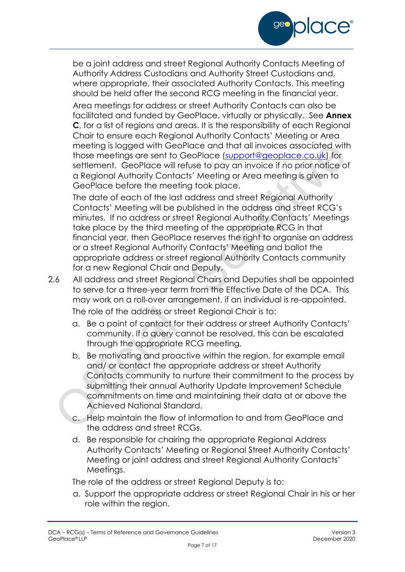

be a joint address and street Regional Authority Contacts Meeting of Authority Address Custodians and Authority Street Custodians and, where appropriate, their associated Authority Contacts. This meeting should be held after the second RCG meeting in the financial year.

Area meetings for address or street Authority Contacts can also be facilitated and funded by GeoPlace, virtually or physically. See **Annex C**, for a list of regions and areas. It is the responsibility of each Regional Chair to ensure each Regional Authority Contacts' Meeting or Area meeting is logged with GeoPlace and that all invoices associated with those meetings are sent to GeoPlace [\(support@geoplace.co.uk\)](mailto:support@geoplace.co.uk) for settlement. GeoPlace will refuse to pay an invoice if no prior notice of a Regional Authority Contacts' Meeting or Area meeting is given to GeoPlace before the meeting took place.

The date of each of the last address and street Regional Authority Contacts' Meeting will be published in the address and street RCG's minutes. If no address or street Regional Authority Contacts' Meetings take place by the third meeting of the appropriate RCG in that financial year, then GeoPlace reserves the right to organise an address or a street Regional Authority Contacts' Meeting and ballot the appropriate address or street regional Authority Contacts community for a new Regional Chair and Deputy.

2.6 All address and street Regional Chairs and Deputies shall be appointed to serve for a three-year term from the Effective Date of the DCA. This may work on a roll-over arrangement, if an individual is re-appointed.

The role of the address or street Regional Chair is to:

- a. Be a point of contact for their address or street Authority Contacts' community. If a query cannot be resolved, this can be escalated through the appropriate RCG meeting.
- b. Be motivating and proactive within the region, for example email and/ or contact the appropriate address or street Authority Contacts community to nurture their commitment to the process by submitting their annual Authority Update Improvement Schedule commitments on time and maintaining their data at or above the Achieved National Standard.
- c. Help maintain the flow of information to and from GeoPlace and the address and street RCGs.
- d. Be responsible for chairing the appropriate Regional Address Authority Contacts' Meeting or Regional Street Authority Contacts' Meeting or joint address and street Regional Authority Contacts' Meetings.

The role of the address or street Regional Deputy is to:

a. Support the appropriate address or street Regional Chair in his or her role within the region.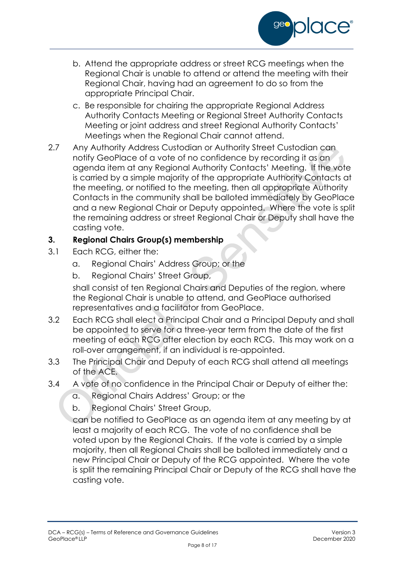

- b. Attend the appropriate address or street RCG meetings when the Regional Chair is unable to attend or attend the meeting with their Regional Chair, having had an agreement to do so from the appropriate Principal Chair.
- c. Be responsible for chairing the appropriate Regional Address Authority Contacts Meeting or Regional Street Authority Contacts Meeting or joint address and street Regional Authority Contacts' Meetings when the Regional Chair cannot attend.
- 2.7 Any Authority Address Custodian or Authority Street Custodian can notify GeoPlace of a vote of no confidence by recording it as an agenda item at any Regional Authority Contacts' Meeting. If the vote is carried by a simple majority of the appropriate Authority Contacts at the meeting, or notified to the meeting, then all appropriate Authority Contacts in the community shall be balloted immediately by GeoPlace and a new Regional Chair or Deputy appointed. Where the vote is split the remaining address or street Regional Chair or Deputy shall have the casting vote.

### **3. Regional Chairs Group(s) membership**

- 3.1 Each RCG, either the:
	- a. Regional Chairs' Address Group; or the
	- b. Regional Chairs' Street Group,

shall consist of ten Regional Chairs and Deputies of the region, where the Regional Chair is unable to attend, and GeoPlace authorised representatives and a facilitator from GeoPlace.

- 3.2 Each RCG shall elect a Principal Chair and a Principal Deputy and shall be appointed to serve for a three-year term from the date of the first meeting of each RCG after election by each RCG. This may work on a roll-over arrangement, if an individual is re-appointed.
- 3.3 The Principal Chair and Deputy of each RCG shall attend all meetings of the ACE.
- 3.4 A vote of no confidence in the Principal Chair or Deputy of either the:
	- a. Regional Chairs Address' Group; or the
	- b. Regional Chairs' Street Group,

can be notified to GeoPlace as an agenda item at any meeting by at least a majority of each RCG. The vote of no confidence shall be voted upon by the Regional Chairs. If the vote is carried by a simple majority, then all Regional Chairs shall be balloted immediately and a new Principal Chair or Deputy of the RCG appointed. Where the vote is split the remaining Principal Chair or Deputy of the RCG shall have the casting vote.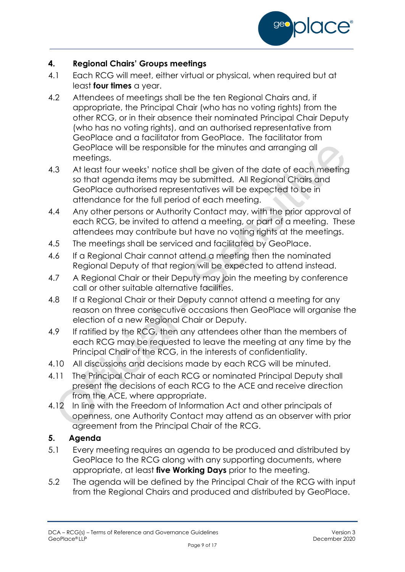

### **4. Regional Chairs' Groups meetings**

- 4.1 Each RCG will meet, either virtual or physical, when required but at least **four times** a year.
- 4.2 Attendees of meetings shall be the ten Regional Chairs and, if appropriate, the Principal Chair (who has no voting rights) from the other RCG, or in their absence their nominated Principal Chair Deputy (who has no voting rights), and an authorised representative from GeoPlace and a facilitator from GeoPlace. The facilitator from GeoPlace will be responsible for the minutes and arranging all meetings.
- 4.3 At least four weeks' notice shall be given of the date of each meeting so that agenda items may be submitted. All Regional Chairs and GeoPlace authorised representatives will be expected to be in attendance for the full period of each meeting.
- 4.4 Any other persons or Authority Contact may, with the prior approval of each RCG, be invited to attend a meeting, or part of a meeting. These attendees may contribute but have no voting rights at the meetings.
- 4.5 The meetings shall be serviced and facilitated by GeoPlace.
- 4.6 If a Regional Chair cannot attend a meeting then the nominated Regional Deputy of that region will be expected to attend instead.
- 4.7 A Regional Chair or their Deputy may join the meeting by conference call or other suitable alternative facilities.
- 4.8 If a Regional Chair or their Deputy cannot attend a meeting for any reason on three consecutive occasions then GeoPlace will organise the election of a new Regional Chair or Deputy.
- 4.9 If ratified by the RCG, then any attendees other than the members of each RCG may be requested to leave the meeting at any time by the Principal Chair of the RCG, in the interests of confidentiality.
- 4.10 All discussions and decisions made by each RCG will be minuted.
- 4.11 The Principal Chair of each RCG or nominated Principal Deputy shall present the decisions of each RCG to the ACE and receive direction from the ACE, where appropriate.
- 4.12 In line with the Freedom of Information Act and other principals of openness, one Authority Contact may attend as an observer with prior agreement from the Principal Chair of the RCG.

## **5. Agenda**

- 5.1 Every meeting requires an agenda to be produced and distributed by GeoPlace to the RCG along with any supporting documents, where appropriate, at least **five Working Days** prior to the meeting.
- 5.2 The agenda will be defined by the Principal Chair of the RCG with input from the Regional Chairs and produced and distributed by GeoPlace.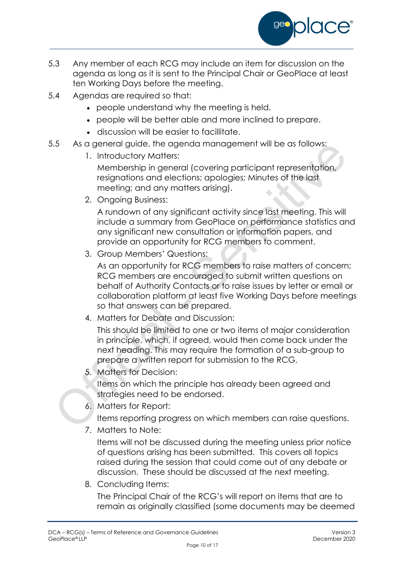

- 5.3 Any member of each RCG may include an item for discussion on the agenda as long as it is sent to the Principal Chair or GeoPlace at least ten Working Days before the meeting.
- 5.4 Agendas are required so that:
	- people understand why the meeting is held.
	- people will be better able and more inclined to prepare.
	- discussion will be easier to facillitate.
- 5.5 As a general guide, the agenda management will be as follows:
	- 1. Introductory Matters:

Membership in general (covering participant representation, resignations and elections; apologies; Minutes of the last meeting; and any matters arising).

2. Ongoing Business:

A rundown of any significant activity since last meeting. This will include a summary from GeoPlace on performance statistics and any significant new consultation or information papers, and provide an opportunity for RCG members to comment.

3. Group Members' Questions:

As an opportunity for RCG members to raise matters of concern; RCG members are encouraged to submit written questions on behalf of Authority Contacts or to raise issues by letter or email or collaboration platform at least five Working Days before meetings so that answers can be prepared.

4. Matters for Debate and Discussion:

This should be limited to one or two items of major consideration in principle, which, if agreed, would then come back under the next heading. This may require the formation of a sub-group to prepare a written report for submission to the RCG.

5. Matters for Decision:

Items on which the principle has already been agreed and strategies need to be endorsed.

- 6. Matters for Report:
	- Items reporting progress on which members can raise questions.
- 7. Matters to Note:

Items will not be discussed during the meeting unless prior notice of questions arising has been submitted. This covers all topics raised during the session that could come out of any debate or discussion. These should be discussed at the next meeting.

8. Concluding Items:

The Principal Chair of the RCG's will report on items that are to remain as originally classified (some documents may be deemed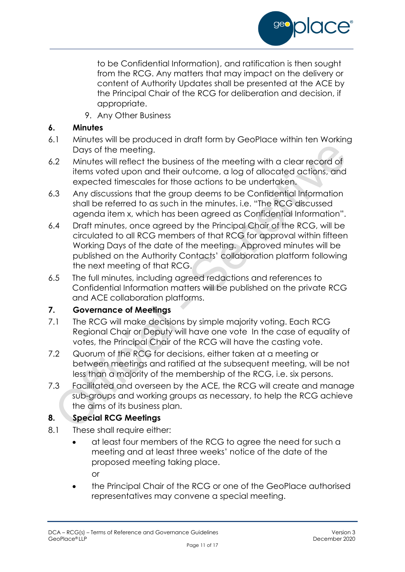

to be Confidential Information), and ratification is then sought from the RCG. Any matters that may impact on the delivery or content of Authority Updates shall be presented at the ACE by the Principal Chair of the RCG for deliberation and decision, if appropriate.

9. Any Other Business

#### **6. Minutes**

- 6.1 Minutes will be produced in draft form by GeoPlace within ten Working Days of the meeting.
- 6.2 Minutes will reflect the business of the meeting with a clear record of items voted upon and their outcome, a log of allocated actions, and expected timescales for those actions to be undertaken.
- 6.3 Any discussions that the group deems to be Confidential Information shall be referred to as such in the minutes. i.e. "The RCG discussed agenda item x, which has been agreed as Confidential Information".
- 6.4 Draft minutes, once agreed by the Principal Chair of the RCG, will be circulated to all RCG members of that RCG for approval within fifteen Working Days of the date of the meeting. Approved minutes will be published on the Authority Contacts' collaboration platform following the next meeting of that RCG.
- 6.5 The full minutes, including agreed redactions and references to Confidential Information matters will be published on the private RCG and ACE collaboration platforms.

## **7. Governance of Meetings**

- 7.1 The RCG will make decisions by simple majority voting. Each RCG Regional Chair or Deputy will have one vote In the case of equality of votes, the Principal Chair of the RCG will have the casting vote.
- 7.2 Quorum of the RCG for decisions, either taken at a meeting or between meetings and ratified at the subsequent meeting, will be not less than a majority of the membership of the RCG, i.e. six persons.
- 7.3 Facilitated and overseen by the ACE, the RCG will create and manage sub-groups and working groups as necessary, to help the RCG achieve the aims of its business plan.

## **8. Special RCG Meetings**

- 8.1 These shall require either:
	- at least four members of the RCG to agree the need for such a meeting and at least three weeks' notice of the date of the proposed meeting taking place.

or

• the Principal Chair of the RCG or one of the GeoPlace authorised representatives may convene a special meeting.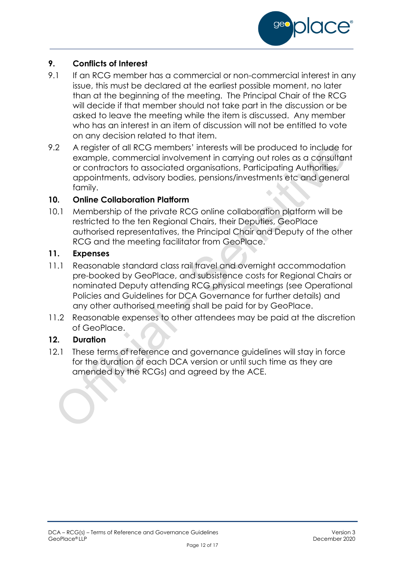

### **9. Conflicts of Interest**

- 9.1 If an RCG member has a commercial or non-commercial interest in any issue, this must be declared at the earliest possible moment, no later than at the beginning of the meeting. The Principal Chair of the RCG will decide if that member should not take part in the discussion or be asked to leave the meeting while the item is discussed. Any member who has an interest in an item of discussion will not be entitled to vote on any decision related to that item.
- 9.2 A register of all RCG members' interests will be produced to include for example, commercial involvement in carrying out roles as a consultant or contractors to associated organisations, Participating Authorities, appointments, advisory bodies, pensions/investments etc and general family.

#### **10. Online Collaboration Platform**

10.1 Membership of the private RCG online collaboration platform will be restricted to the ten Regional Chairs, their Deputies, GeoPlace authorised representatives, the Principal Chair and Deputy of the other RCG and the meeting facilitator from GeoPlace.

#### **11. Expenses**

- 11.1 Reasonable standard class rail travel and overnight accommodation pre-booked by GeoPlace, and subsistence costs for Regional Chairs or nominated Deputy attending RCG physical meetings (see Operational Policies and Guidelines for DCA Governance for further details) and any other authorised meeting shall be paid for by GeoPlace.
- 11.2 Reasonable expenses to other attendees may be paid at the discretion of GeoPlace.

## **12. Duration**

12.1 These terms of reference and governance guidelines will stay in force for the duration of each DCA version or until such time as they are amended by the RCGs) and agreed by the ACE.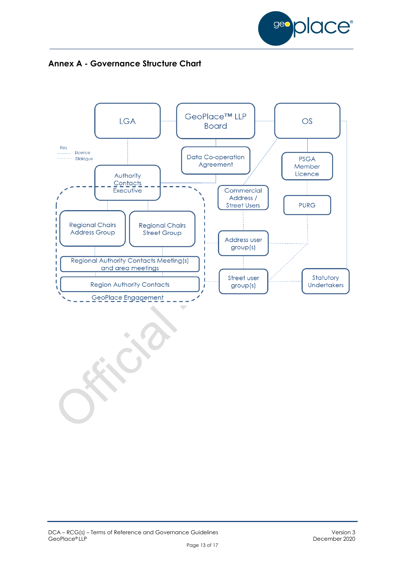

**Annex A - Governance Structure Chart**

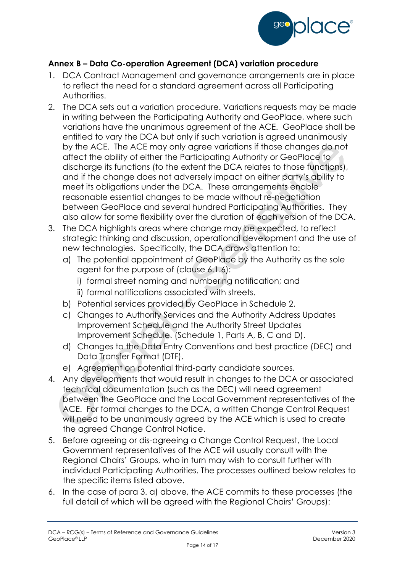

#### **Annex B – Data Co-operation Agreement (DCA) variation procedure**

- 1. DCA Contract Management and governance arrangements are in place to reflect the need for a standard agreement across all Participating Authorities.
- 2. The DCA sets out a variation procedure. Variations requests may be made in writing between the Participating Authority and GeoPlace, where such variations have the unanimous agreement of the ACE. GeoPlace shall be entitled to vary the DCA but only if such variation is agreed unanimously by the ACE. The ACE may only agree variations if those changes do not affect the ability of either the Participating Authority or GeoPlace to discharge its functions (to the extent the DCA relates to those functions), and if the change does not adversely impact on either party's ability to meet its obligations under the DCA. These arrangements enable reasonable essential changes to be made without re-negotiation between GeoPlace and several hundred Participating Authorities. They also allow for some flexibility over the duration of each version of the DCA.
- 3. The DCA highlights areas where change may be expected, to reflect strategic thinking and discussion, operational development and the use of new technologies. Specifically, the DCA draws attention to:
	- a) The potential appointment of GeoPlace by the Authority as the sole agent for the purpose of (clause 6.1.6):
		- i) formal street naming and numbering notification; and
		- ii) formal notifications associated with streets.
	- b) Potential services provided by GeoPlace in Schedule 2.
	- c) Changes to Authority Services and the Authority Address Updates Improvement Schedule and the Authority Street Updates Improvement Schedule. (Schedule 1, Parts A, B, C and D).
	- d) Changes to the Data Entry Conventions and best practice (DEC) and Data Transfer Format (DTF).
	- e) Agreement on potential third-party candidate sources.
- 4. Any developments that would result in changes to the DCA or associated technical documentation (such as the DEC) will need agreement between the GeoPlace and the Local Government representatives of the ACE. For formal changes to the DCA, a written Change Control Request will need to be unanimously agreed by the ACE which is used to create the agreed Change Control Notice.
- 5. Before agreeing or dis-agreeing a Change Control Request, the Local Government representatives of the ACE will usually consult with the Regional Chairs' Groups, who in turn may wish to consult further with individual Participating Authorities. The processes outlined below relates to the specific items listed above.
- 6. In the case of para 3. a) above, the ACE commits to these processes (the full detail of which will be agreed with the Regional Chairs' Groups):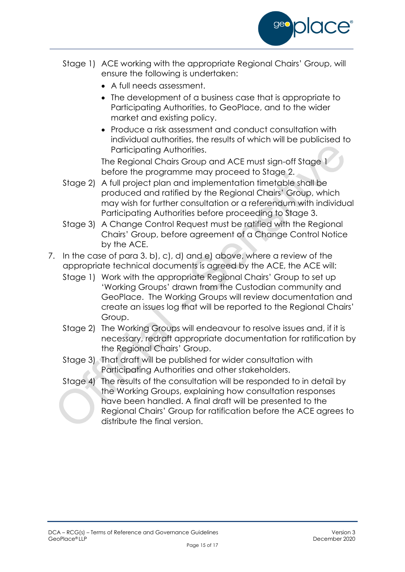

- Stage 1) ACE working with the appropriate Regional Chairs' Group, will ensure the following is undertaken:
	- A full needs assessment.
	- The development of a business case that is appropriate to Participating Authorities, to GeoPlace, and to the wider market and existing policy.
	- Produce a risk assessment and conduct consultation with individual authorities, the results of which will be publicised to Participating Authorities.

The Regional Chairs Group and ACE must sign-off Stage 1 before the programme may proceed to Stage 2.

- Stage 2) A full project plan and implementation timetable shall be produced and ratified by the Regional Chairs' Group, which may wish for further consultation or a referendum with individual Participating Authorities before proceeding to Stage 3.
- Stage 3) A Change Control Request must be ratified with the Regional Chairs' Group, before agreement of a Change Control Notice by the ACE.
- 7. In the case of para 3. b), c), d) and e) above, where a review of the appropriate technical documents is agreed by the ACE, the ACE will:
	- Stage 1) Work with the appropriate Regional Chairs' Group to set up 'Working Groups' drawn from the Custodian community and GeoPlace. The Working Groups will review documentation and create an issues log that will be reported to the Regional Chairs' Group.
	- Stage 2) The Working Groups will endeavour to resolve issues and, if it is necessary, redraft appropriate documentation for ratification by the Regional Chairs' Group.
	- Stage 3) That draft will be published for wider consultation with Participating Authorities and other stakeholders.
	- Stage 4) The results of the consultation will be responded to in detail by the Working Groups, explaining how consultation responses have been handled. A final draft will be presented to the Regional Chairs' Group for ratification before the ACE agrees to distribute the final version.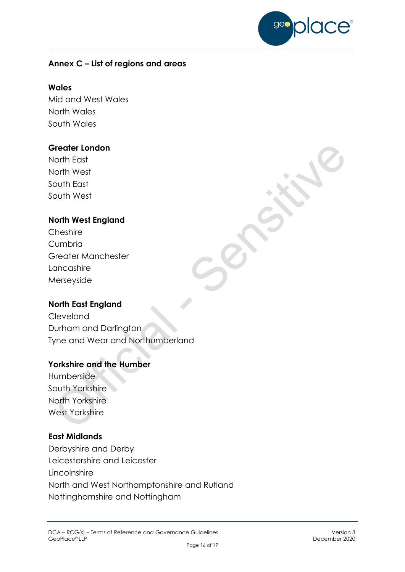

### **Annex C – List of regions and areas**

#### **Wales**

Mid and West Wales North Wales South Wales

#### **Greater London**

North East North West South East South West

### **North West England**

| Cheshire           |
|--------------------|
| Cumbria            |
| Greater Manchester |
| Lancashire         |
| Merseyside         |

## **North East England**

Cleveland Durham and Darlington Tyne and Wear and Northumberland

#### **Yorkshire and the Humber**

Humberside South Yorkshire North Yorkshire West Yorkshire

#### **East Midlands**

Derbyshire and Derby Leicestershire and Leicester **Lincolnshire** North and West Northamptonshire and Rutland Nottinghamshire and Nottingham